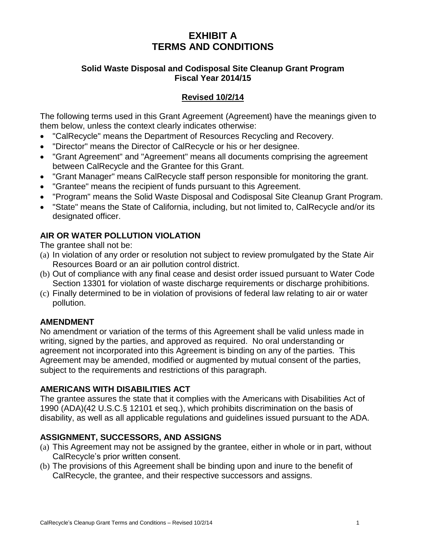# **EXHIBIT A TERMS AND CONDITIONS**

#### **Solid Waste Disposal and Codisposal Site Cleanup Grant Program Fiscal Year 2014/15**

## **Revised 10/2/14**

The following terms used in this Grant Agreement (Agreement) have the meanings given to them below, unless the context clearly indicates otherwise:

- "CalRecycle" means the Department of Resources Recycling and Recovery.
- "Director" means the Director of CalRecycle or his or her designee.
- "Grant Agreement" and "Agreement" means all documents comprising the agreement between CalRecycle and the Grantee for this Grant.
- "Grant Manager" means CalRecycle staff person responsible for monitoring the grant.
- "Grantee" means the recipient of funds pursuant to this Agreement.
- "Program" means the Solid Waste Disposal and Codisposal Site Cleanup Grant Program.
- "State" means the State of California, including, but not limited to, CalRecycle and/or its designated officer.

## **AIR OR WATER POLLUTION VIOLATION**

The grantee shall not be:

- (a) In violation of any order or resolution not subject to review promulgated by the State Air Resources Board or an air pollution control district.
- (b) Out of compliance with any final cease and desist order issued pursuant to Water Code Section 13301 for violation of waste discharge requirements or discharge prohibitions.
- (c) Finally determined to be in violation of provisions of federal law relating to air or water pollution.

## **AMENDMENT**

No amendment or variation of the terms of this Agreement shall be valid unless made in writing, signed by the parties, and approved as required. No oral understanding or agreement not incorporated into this Agreement is binding on any of the parties. This Agreement may be amended, modified or augmented by mutual consent of the parties, subject to the requirements and restrictions of this paragraph.

## **AMERICANS WITH DISABILITIES ACT**

The grantee assures the state that it complies with the Americans with Disabilities Act of 1990 (ADA)(42 U.S.C.§ 12101 et seq.), which prohibits discrimination on the basis of disability, as well as all applicable regulations and guidelines issued pursuant to the ADA.

## **ASSIGNMENT, SUCCESSORS, AND ASSIGNS**

- (a) This Agreement may not be assigned by the grantee, either in whole or in part, without CalRecycle's prior written consent.
- (b) The provisions of this Agreement shall be binding upon and inure to the benefit of CalRecycle, the grantee, and their respective successors and assigns.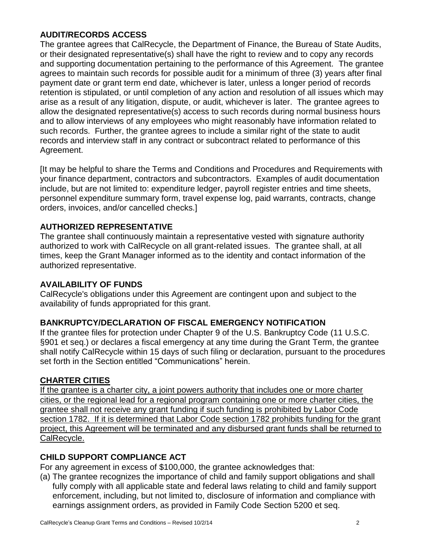#### **AUDIT/RECORDS ACCESS**

The grantee agrees that CalRecycle, the Department of Finance, the Bureau of State Audits, or their designated representative(s) shall have the right to review and to copy any records and supporting documentation pertaining to the performance of this Agreement. The grantee agrees to maintain such records for possible audit for a minimum of three (3) years after final payment date or grant term end date, whichever is later, unless a longer period of records retention is stipulated, or until completion of any action and resolution of all issues which may arise as a result of any litigation, dispute, or audit, whichever is later. The grantee agrees to allow the designated representative(s) access to such records during normal business hours and to allow interviews of any employees who might reasonably have information related to such records. Further, the grantee agrees to include a similar right of the state to audit records and interview staff in any contract or subcontract related to performance of this Agreement.

[It may be helpful to share the Terms and Conditions and Procedures and Requirements with your finance department, contractors and subcontractors. Examples of audit documentation include, but are not limited to: expenditure ledger, payroll register entries and time sheets, personnel expenditure summary form, travel expense log, paid warrants, contracts, change orders, invoices, and/or cancelled checks.]

## **AUTHORIZED REPRESENTATIVE**

The grantee shall continuously maintain a representative vested with signature authority authorized to work with CalRecycle on all grant-related issues. The grantee shall, at all times, keep the Grant Manager informed as to the identity and contact information of the authorized representative.

## **AVAILABILITY OF FUNDS**

CalRecycle's obligations under this Agreement are contingent upon and subject to the availability of funds appropriated for this grant.

## **BANKRUPTCY/DECLARATION OF FISCAL EMERGENCY NOTIFICATION**

If the grantee files for protection under Chapter 9 of the U.S. Bankruptcy Code (11 U.S.C. §901 et seq.) or declares a fiscal emergency at any time during the Grant Term, the grantee shall notify CalRecycle within 15 days of such filing or declaration, pursuant to the procedures set forth in the Section entitled "Communications" herein.

## **CHARTER CITIES**

If the grantee is a charter city, a joint powers authority that includes one or more charter cities, or the regional lead for a regional program containing one or more charter cities, the grantee shall not receive any grant funding if such funding is prohibited by Labor Code section 1782. If it is determined that Labor Code section 1782 prohibits funding for the grant project, this Agreement will be terminated and any disbursed grant funds shall be returned to CalRecycle.

## **CHILD SUPPORT COMPLIANCE ACT**

For any agreement in excess of \$100,000, the grantee acknowledges that:

(a) The grantee recognizes the importance of child and family support obligations and shall fully comply with all applicable state and federal laws relating to child and family support enforcement, including, but not limited to, disclosure of information and compliance with earnings assignment orders, as provided in Family Code Section 5200 et seq.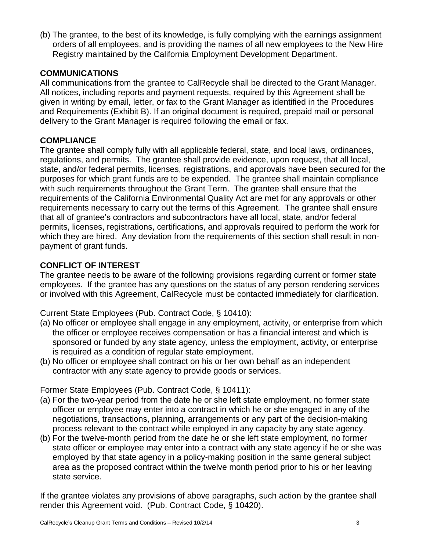(b) The grantee, to the best of its knowledge, is fully complying with the earnings assignment orders of all employees, and is providing the names of all new employees to the New Hire Registry maintained by the California Employment Development Department.

#### **COMMUNICATIONS**

All communications from the grantee to CalRecycle shall be directed to the Grant Manager. All notices, including reports and payment requests, required by this Agreement shall be given in writing by email, letter, or fax to the Grant Manager as identified in the Procedures and Requirements (Exhibit B). If an original document is required, prepaid mail or personal delivery to the Grant Manager is required following the email or fax.

#### **COMPLIANCE**

The grantee shall comply fully with all applicable federal, state, and local laws, ordinances, regulations, and permits. The grantee shall provide evidence, upon request, that all local, state, and/or federal permits, licenses, registrations, and approvals have been secured for the purposes for which grant funds are to be expended. The grantee shall maintain compliance with such requirements throughout the Grant Term. The grantee shall ensure that the requirements of the California Environmental Quality Act are met for any approvals or other requirements necessary to carry out the terms of this Agreement. The grantee shall ensure that all of grantee's contractors and subcontractors have all local, state, and/or federal permits, licenses, registrations, certifications, and approvals required to perform the work for which they are hired. Any deviation from the requirements of this section shall result in nonpayment of grant funds.

#### **CONFLICT OF INTEREST**

The grantee needs to be aware of the following provisions regarding current or former state employees. If the grantee has any questions on the status of any person rendering services or involved with this Agreement, CalRecycle must be contacted immediately for clarification.

Current State Employees (Pub. Contract Code, § 10410):

- (a) No officer or employee shall engage in any employment, activity, or enterprise from which the officer or employee receives compensation or has a financial interest and which is sponsored or funded by any state agency, unless the employment, activity, or enterprise is required as a condition of regular state employment.
- (b) No officer or employee shall contract on his or her own behalf as an independent contractor with any state agency to provide goods or services.

Former State Employees (Pub. Contract Code, § 10411):

- (a) For the two-year period from the date he or she left state employment, no former state officer or employee may enter into a contract in which he or she engaged in any of the negotiations, transactions, planning, arrangements or any part of the decision-making process relevant to the contract while employed in any capacity by any state agency.
- (b) For the twelve-month period from the date he or she left state employment, no former state officer or employee may enter into a contract with any state agency if he or she was employed by that state agency in a policy-making position in the same general subject area as the proposed contract within the twelve month period prior to his or her leaving state service.

If the grantee violates any provisions of above paragraphs, such action by the grantee shall render this Agreement void. (Pub. Contract Code, § 10420).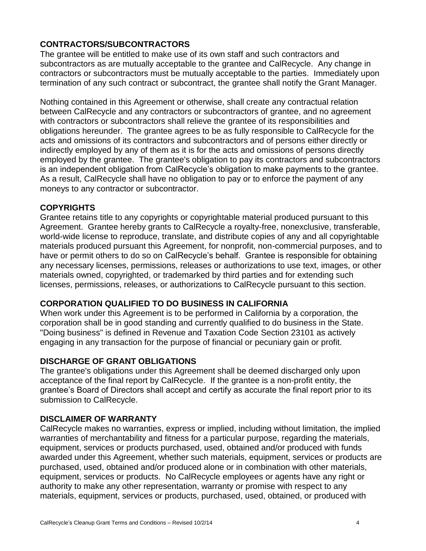## **CONTRACTORS/SUBCONTRACTORS**

The grantee will be entitled to make use of its own staff and such contractors and subcontractors as are mutually acceptable to the grantee and CalRecycle. Any change in contractors or subcontractors must be mutually acceptable to the parties. Immediately upon termination of any such contract or subcontract, the grantee shall notify the Grant Manager.

Nothing contained in this Agreement or otherwise, shall create any contractual relation between CalRecycle and any contractors or subcontractors of grantee, and no agreement with contractors or subcontractors shall relieve the grantee of its responsibilities and obligations hereunder. The grantee agrees to be as fully responsible to CalRecycle for the acts and omissions of its contractors and subcontractors and of persons either directly or indirectly employed by any of them as it is for the acts and omissions of persons directly employed by the grantee. The grantee's obligation to pay its contractors and subcontractors is an independent obligation from CalRecycle's obligation to make payments to the grantee. As a result, CalRecycle shall have no obligation to pay or to enforce the payment of any moneys to any contractor or subcontractor.

## **COPYRIGHTS**

Grantee retains title to any copyrights or copyrightable material produced pursuant to this Agreement. Grantee hereby grants to CalRecycle a royalty-free, nonexclusive, transferable, world-wide license to reproduce, translate, and distribute copies of any and all copyrightable materials produced pursuant this Agreement, for nonprofit, non-commercial purposes, and to have or permit others to do so on CalRecycle's behalf. Grantee is responsible for obtaining any necessary licenses, permissions, releases or authorizations to use text, images, or other materials owned, copyrighted, or trademarked by third parties and for extending such licenses, permissions, releases, or authorizations to CalRecycle pursuant to this section.

## **CORPORATION QUALIFIED TO DO BUSINESS IN CALIFORNIA**

When work under this Agreement is to be performed in California by a corporation, the corporation shall be in good standing and currently qualified to do business in the State. "Doing business" is defined in Revenue and Taxation Code Section 23101 as actively engaging in any transaction for the purpose of financial or pecuniary gain or profit.

## **DISCHARGE OF GRANT OBLIGATIONS**

The grantee's obligations under this Agreement shall be deemed discharged only upon acceptance of the final report by CalRecycle. If the grantee is a non-profit entity, the grantee's Board of Directors shall accept and certify as accurate the final report prior to its submission to CalRecycle.

## **DISCLAIMER OF WARRANTY**

CalRecycle makes no warranties, express or implied, including without limitation, the implied warranties of merchantability and fitness for a particular purpose, regarding the materials, equipment, services or products purchased, used, obtained and/or produced with funds awarded under this Agreement, whether such materials, equipment, services or products are purchased, used, obtained and/or produced alone or in combination with other materials, equipment, services or products. No CalRecycle employees or agents have any right or authority to make any other representation, warranty or promise with respect to any materials, equipment, services or products, purchased, used, obtained, or produced with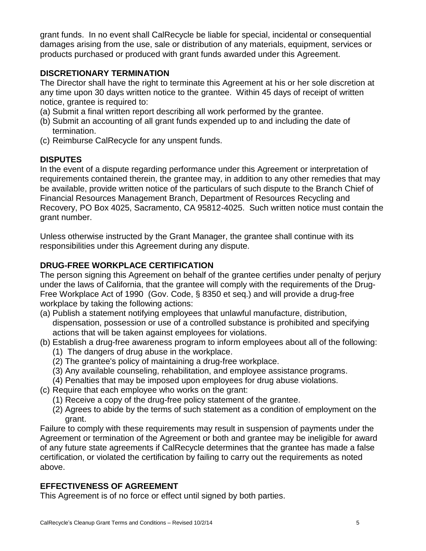grant funds. In no event shall CalRecycle be liable for special, incidental or consequential damages arising from the use, sale or distribution of any materials, equipment, services or products purchased or produced with grant funds awarded under this Agreement.

#### **DISCRETIONARY TERMINATION**

The Director shall have the right to terminate this Agreement at his or her sole discretion at any time upon 30 days written notice to the grantee. Within 45 days of receipt of written notice, grantee is required to:

- (a) Submit a final written report describing all work performed by the grantee.
- (b) Submit an accounting of all grant funds expended up to and including the date of termination.
- (c) Reimburse CalRecycle for any unspent funds.

## **DISPUTES**

In the event of a dispute regarding performance under this Agreement or interpretation of requirements contained therein, the grantee may, in addition to any other remedies that may be available, provide written notice of the particulars of such dispute to the Branch Chief of Financial Resources Management Branch, Department of Resources Recycling and Recovery, PO Box 4025, Sacramento, CA 95812-4025. Such written notice must contain the grant number.

Unless otherwise instructed by the Grant Manager, the grantee shall continue with its responsibilities under this Agreement during any dispute.

## **DRUG-FREE WORKPLACE CERTIFICATION**

The person signing this Agreement on behalf of the grantee certifies under penalty of perjury under the laws of California, that the grantee will comply with the requirements of the Drug-Free Workplace Act of 1990 (Gov. Code, § 8350 et seq.) and will provide a drug-free workplace by taking the following actions:

- (a) Publish a statement notifying employees that unlawful manufacture, distribution, dispensation, possession or use of a controlled substance is prohibited and specifying actions that will be taken against employees for violations.
- (b) Establish a drug-free awareness program to inform employees about all of the following: (1) The dangers of drug abuse in the workplace.
	- (2) The grantee's policy of maintaining a drug-free workplace.
	- (3) Any available counseling, rehabilitation, and employee assistance programs.
	- (4) Penalties that may be imposed upon employees for drug abuse violations.
- (c) Require that each employee who works on the grant:
	- (1) Receive a copy of the drug-free policy statement of the grantee.
	- (2) Agrees to abide by the terms of such statement as a condition of employment on the grant.

Failure to comply with these requirements may result in suspension of payments under the Agreement or termination of the Agreement or both and grantee may be ineligible for award of any future state agreements if CalRecycle determines that the grantee has made a false certification, or violated the certification by failing to carry out the requirements as noted above.

## **EFFECTIVENESS OF AGREEMENT**

This Agreement is of no force or effect until signed by both parties.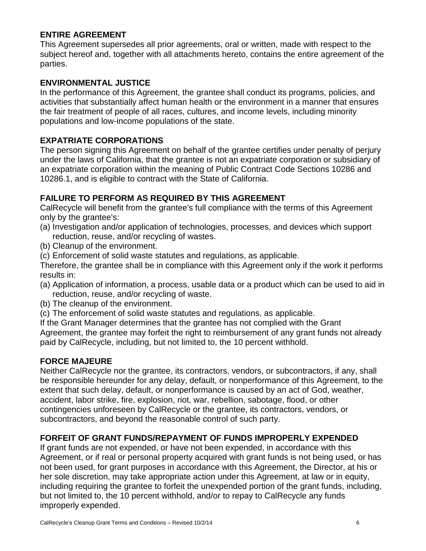#### **ENTIRE AGREEMENT**

This Agreement supersedes all prior agreements, oral or written, made with respect to the subject hereof and, together with all attachments hereto, contains the entire agreement of the parties.

#### **ENVIRONMENTAL JUSTICE**

In the performance of this Agreement, the grantee shall conduct its programs, policies, and activities that substantially affect human health or the environment in a manner that ensures the fair treatment of people of all races, cultures, and income levels, including minority populations and low-income populations of the state.

#### **EXPATRIATE CORPORATIONS**

The person signing this Agreement on behalf of the grantee certifies under penalty of perjury under the laws of California, that the grantee is not an expatriate corporation or subsidiary of an expatriate corporation within the meaning of Public Contract Code Sections 10286 and 10286.1, and is eligible to contract with the State of California.

#### **FAILURE TO PERFORM AS REQUIRED BY THIS AGREEMENT**

CalRecycle will benefit from the grantee's full compliance with the terms of this Agreement only by the grantee's:

- (a) Investigation and/or application of technologies, processes, and devices which support reduction, reuse, and/or recycling of wastes.
- (b) Cleanup of the environment.
- (c) Enforcement of solid waste statutes and regulations, as applicable.

Therefore, the grantee shall be in compliance with this Agreement only if the work it performs results in:

- (a) Application of information, a process, usable data or a product which can be used to aid in reduction, reuse, and/or recycling of waste.
- (b) The cleanup of the environment.
- (c) The enforcement of solid waste statutes and regulations, as applicable.

If the Grant Manager determines that the grantee has not complied with the Grant Agreement, the grantee may forfeit the right to reimbursement of any grant funds not already

paid by CalRecycle, including, but not limited to, the 10 percent withhold.

#### **FORCE MAJEURE**

Neither CalRecycle nor the grantee, its contractors, vendors, or subcontractors, if any, shall be responsible hereunder for any delay, default, or nonperformance of this Agreement, to the extent that such delay, default, or nonperformance is caused by an act of God, weather, accident, labor strike, fire, explosion, riot, war, rebellion, sabotage, flood, or other contingencies unforeseen by CalRecycle or the grantee, its contractors, vendors, or subcontractors, and beyond the reasonable control of such party.

#### **FORFEIT OF GRANT FUNDS/REPAYMENT OF FUNDS IMPROPERLY EXPENDED**

If grant funds are not expended, or have not been expended, in accordance with this Agreement, or if real or personal property acquired with grant funds is not being used, or has not been used, for grant purposes in accordance with this Agreement, the Director, at his or her sole discretion, may take appropriate action under this Agreement, at law or in equity, including requiring the grantee to forfeit the unexpended portion of the grant funds, including, but not limited to, the 10 percent withhold, and/or to repay to CalRecycle any funds improperly expended.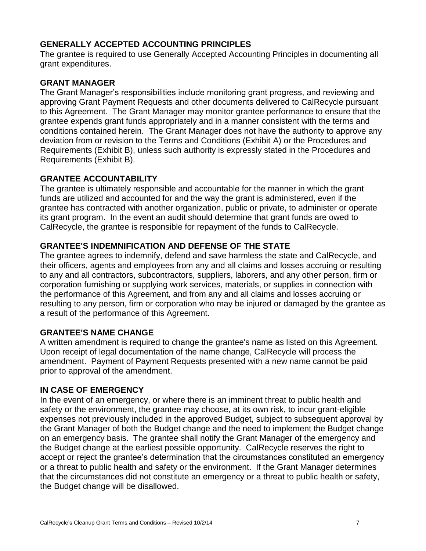#### **GENERALLY ACCEPTED ACCOUNTING PRINCIPLES**

The grantee is required to use Generally Accepted Accounting Principles in documenting all grant expenditures.

#### **GRANT MANAGER**

The Grant Manager's responsibilities include monitoring grant progress, and reviewing and approving Grant Payment Requests and other documents delivered to CalRecycle pursuant to this Agreement. The Grant Manager may monitor grantee performance to ensure that the grantee expends grant funds appropriately and in a manner consistent with the terms and conditions contained herein. The Grant Manager does not have the authority to approve any deviation from or revision to the Terms and Conditions (Exhibit A) or the Procedures and Requirements (Exhibit B), unless such authority is expressly stated in the Procedures and Requirements (Exhibit B).

#### **GRANTEE ACCOUNTABILITY**

The grantee is ultimately responsible and accountable for the manner in which the grant funds are utilized and accounted for and the way the grant is administered, even if the grantee has contracted with another organization, public or private, to administer or operate its grant program. In the event an audit should determine that grant funds are owed to CalRecycle, the grantee is responsible for repayment of the funds to CalRecycle.

## **GRANTEE'S INDEMNIFICATION AND DEFENSE OF THE STATE**

The grantee agrees to indemnify, defend and save harmless the state and CalRecycle, and their officers, agents and employees from any and all claims and losses accruing or resulting to any and all contractors, subcontractors, suppliers, laborers, and any other person, firm or corporation furnishing or supplying work services, materials, or supplies in connection with the performance of this Agreement, and from any and all claims and losses accruing or resulting to any person, firm or corporation who may be injured or damaged by the grantee as a result of the performance of this Agreement.

#### **GRANTEE'S NAME CHANGE**

A written amendment is required to change the grantee's name as listed on this Agreement. Upon receipt of legal documentation of the name change, CalRecycle will process the amendment. Payment of Payment Requests presented with a new name cannot be paid prior to approval of the amendment.

#### **IN CASE OF EMERGENCY**

In the event of an emergency, or where there is an imminent threat to public health and safety or the environment, the grantee may choose, at its own risk, to incur grant-eligible expenses not previously included in the approved Budget, subject to subsequent approval by the Grant Manager of both the Budget change and the need to implement the Budget change on an emergency basis. The grantee shall notify the Grant Manager of the emergency and the Budget change at the earliest possible opportunity. CalRecycle reserves the right to accept or reject the grantee's determination that the circumstances constituted an emergency or a threat to public health and safety or the environment. If the Grant Manager determines that the circumstances did not constitute an emergency or a threat to public health or safety, the Budget change will be disallowed.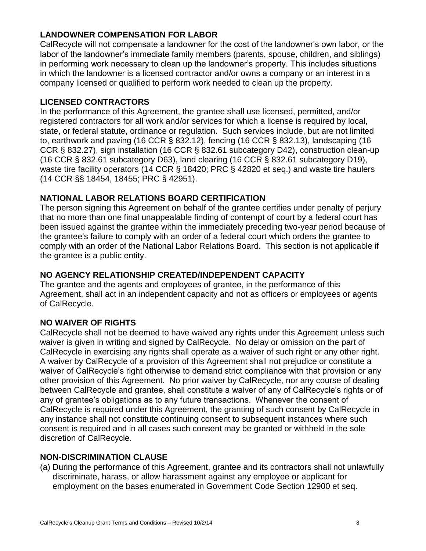## **LANDOWNER COMPENSATION FOR LABOR**

CalRecycle will not compensate a landowner for the cost of the landowner's own labor, or the labor of the landowner's immediate family members (parents, spouse, children, and siblings) in performing work necessary to clean up the landowner's property. This includes situations in which the landowner is a licensed contractor and/or owns a company or an interest in a company licensed or qualified to perform work needed to clean up the property.

#### **LICENSED CONTRACTORS**

In the performance of this Agreement, the grantee shall use licensed, permitted, and/or registered contractors for all work and/or services for which a license is required by local, state, or federal statute, ordinance or regulation. Such services include, but are not limited to, earthwork and paving (16 CCR § 832.12), fencing (16 CCR § 832.13), landscaping (16 CCR § 832.27), sign installation (16 CCR § 832.61 subcategory D42), construction clean-up (16 CCR § 832.61 subcategory D63), land clearing (16 CCR § 832.61 subcategory D19), waste tire facility operators (14 CCR § 18420; PRC § 42820 et seq.) and waste tire haulers (14 CCR §§ 18454, 18455; PRC § 42951).

#### **NATIONAL LABOR RELATIONS BOARD CERTIFICATION**

The person signing this Agreement on behalf of the grantee certifies under penalty of perjury that no more than one final unappealable finding of contempt of court by a federal court has been issued against the grantee within the immediately preceding two-year period because of the grantee's failure to comply with an order of a federal court which orders the grantee to comply with an order of the National Labor Relations Board. This section is not applicable if the grantee is a public entity.

## **NO AGENCY RELATIONSHIP CREATED/INDEPENDENT CAPACITY**

The grantee and the agents and employees of grantee, in the performance of this Agreement, shall act in an independent capacity and not as officers or employees or agents of CalRecycle.

## **NO WAIVER OF RIGHTS**

CalRecycle shall not be deemed to have waived any rights under this Agreement unless such waiver is given in writing and signed by CalRecycle. No delay or omission on the part of CalRecycle in exercising any rights shall operate as a waiver of such right or any other right. A waiver by CalRecycle of a provision of this Agreement shall not prejudice or constitute a waiver of CalRecycle's right otherwise to demand strict compliance with that provision or any other provision of this Agreement. No prior waiver by CalRecycle, nor any course of dealing between CalRecycle and grantee, shall constitute a waiver of any of CalRecycle's rights or of any of grantee's obligations as to any future transactions. Whenever the consent of CalRecycle is required under this Agreement, the granting of such consent by CalRecycle in any instance shall not constitute continuing consent to subsequent instances where such consent is required and in all cases such consent may be granted or withheld in the sole discretion of CalRecycle.

#### **NON-DISCRIMINATION CLAUSE**

(a) During the performance of this Agreement, grantee and its contractors shall not unlawfully discriminate, harass, or allow harassment against any employee or applicant for employment on the bases enumerated in Government Code Section 12900 et seq.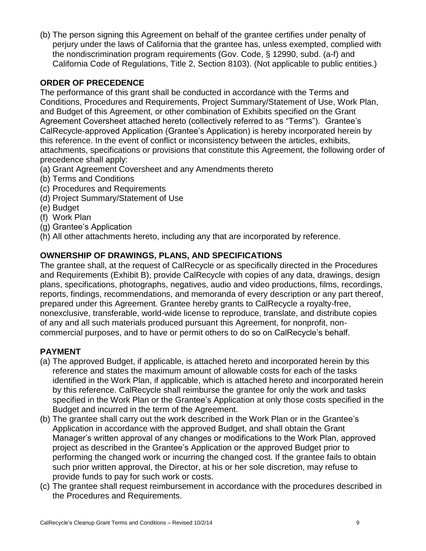(b) The person signing this Agreement on behalf of the grantee certifies under penalty of perjury under the laws of California that the grantee has, unless exempted, complied with the nondiscrimination program requirements (Gov. Code, § 12990, subd. (a-f) and California Code of Regulations, Title 2, Section 8103). (Not applicable to public entities.)

## **ORDER OF PRECEDENCE**

The performance of this grant shall be conducted in accordance with the Terms and Conditions, Procedures and Requirements, Project Summary/Statement of Use, Work Plan, and Budget of this Agreement, or other combination of Exhibits specified on the Grant Agreement Coversheet attached hereto (collectively referred to as "Terms"). Grantee's CalRecycle-approved Application (Grantee's Application) is hereby incorporated herein by this reference. In the event of conflict or inconsistency between the articles, exhibits, attachments, specifications or provisions that constitute this Agreement, the following order of precedence shall apply:

- (a) Grant Agreement Coversheet and any Amendments thereto
- (b) Terms and Conditions
- (c) Procedures and Requirements
- (d) Project Summary/Statement of Use
- (e) Budget
- (f) Work Plan
- (g) Grantee's Application
- (h) All other attachments hereto, including any that are incorporated by reference.

## **OWNERSHIP OF DRAWINGS, PLANS, AND SPECIFICATIONS**

The grantee shall, at the request of CalRecycle or as specifically directed in the Procedures and Requirements (Exhibit B), provide CalRecycle with copies of any data, drawings, design plans, specifications, photographs, negatives, audio and video productions, films, recordings, reports, findings, recommendations, and memoranda of every description or any part thereof, prepared under this Agreement. Grantee hereby grants to CalRecycle a royalty-free, nonexclusive, transferable, world-wide license to reproduce, translate, and distribute copies of any and all such materials produced pursuant this Agreement, for nonprofit, noncommercial purposes, and to have or permit others to do so on CalRecycle's behalf.

## **PAYMENT**

- (a) The approved Budget, if applicable, is attached hereto and incorporated herein by this reference and states the maximum amount of allowable costs for each of the tasks identified in the Work Plan, if applicable, which is attached hereto and incorporated herein by this reference. CalRecycle shall reimburse the grantee for only the work and tasks specified in the Work Plan or the Grantee's Application at only those costs specified in the Budget and incurred in the term of the Agreement.
- (b) The grantee shall carry out the work described in the Work Plan or in the Grantee's Application in accordance with the approved Budget, and shall obtain the Grant Manager's written approval of any changes or modifications to the Work Plan, approved project as described in the Grantee's Application or the approved Budget prior to performing the changed work or incurring the changed cost. If the grantee fails to obtain such prior written approval, the Director, at his or her sole discretion, may refuse to provide funds to pay for such work or costs.
- (c) The grantee shall request reimbursement in accordance with the procedures described in the Procedures and Requirements.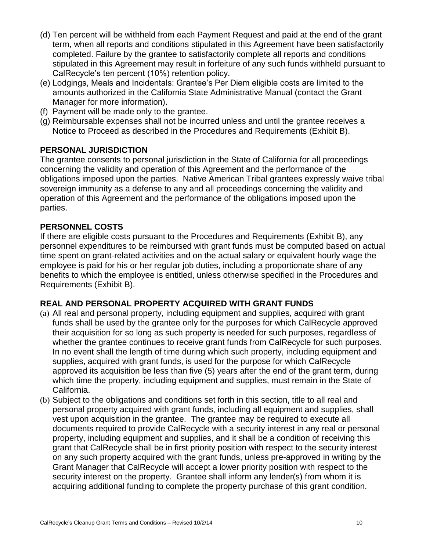- (d) Ten percent will be withheld from each Payment Request and paid at the end of the grant term, when all reports and conditions stipulated in this Agreement have been satisfactorily completed. Failure by the grantee to satisfactorily complete all reports and conditions stipulated in this Agreement may result in forfeiture of any such funds withheld pursuant to CalRecycle's ten percent (10%) retention policy.
- (e) Lodgings, Meals and Incidentals: Grantee's Per Diem eligible costs are limited to the amounts authorized in the California State Administrative Manual (contact the Grant Manager for more information).
- (f) Payment will be made only to the grantee.
- (g) Reimbursable expenses shall not be incurred unless and until the grantee receives a Notice to Proceed as described in the Procedures and Requirements (Exhibit B).

## **PERSONAL JURISDICTION**

The grantee consents to personal jurisdiction in the State of California for all proceedings concerning the validity and operation of this Agreement and the performance of the obligations imposed upon the parties. Native American Tribal grantees expressly waive tribal sovereign immunity as a defense to any and all proceedings concerning the validity and operation of this Agreement and the performance of the obligations imposed upon the parties.

## **PERSONNEL COSTS**

If there are eligible costs pursuant to the Procedures and Requirements (Exhibit B), any personnel expenditures to be reimbursed with grant funds must be computed based on actual time spent on grant-related activities and on the actual salary or equivalent hourly wage the employee is paid for his or her regular job duties, including a proportionate share of any benefits to which the employee is entitled, unless otherwise specified in the Procedures and Requirements (Exhibit B).

#### **REAL AND PERSONAL PROPERTY ACQUIRED WITH GRANT FUNDS**

- (a) All real and personal property, including equipment and supplies, acquired with grant funds shall be used by the grantee only for the purposes for which CalRecycle approved their acquisition for so long as such property is needed for such purposes, regardless of whether the grantee continues to receive grant funds from CalRecycle for such purposes. In no event shall the length of time during which such property, including equipment and supplies, acquired with grant funds, is used for the purpose for which CalRecycle approved its acquisition be less than five (5) years after the end of the grant term, during which time the property, including equipment and supplies, must remain in the State of California.
- (b) Subject to the obligations and conditions set forth in this section, title to all real and personal property acquired with grant funds, including all equipment and supplies, shall vest upon acquisition in the grantee. The grantee may be required to execute all documents required to provide CalRecycle with a security interest in any real or personal property, including equipment and supplies, and it shall be a condition of receiving this grant that CalRecycle shall be in first priority position with respect to the security interest on any such property acquired with the grant funds, unless pre-approved in writing by the Grant Manager that CalRecycle will accept a lower priority position with respect to the security interest on the property. Grantee shall inform any lender(s) from whom it is acquiring additional funding to complete the property purchase of this grant condition.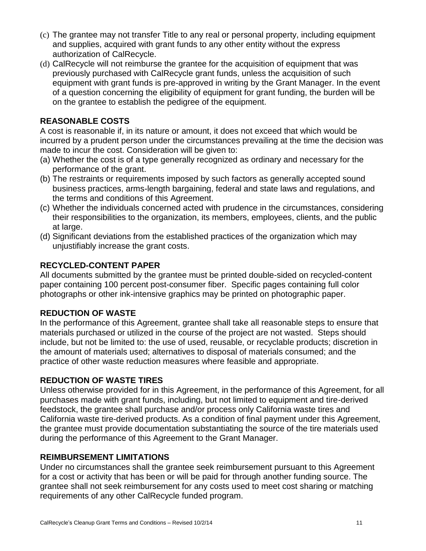- (c) The grantee may not transfer Title to any real or personal property, including equipment and supplies, acquired with grant funds to any other entity without the express authorization of CalRecycle.
- (d) CalRecycle will not reimburse the grantee for the acquisition of equipment that was previously purchased with CalRecycle grant funds, unless the acquisition of such equipment with grant funds is pre-approved in writing by the Grant Manager. In the event of a question concerning the eligibility of equipment for grant funding, the burden will be on the grantee to establish the pedigree of the equipment.

## **REASONABLE COSTS**

A cost is reasonable if, in its nature or amount, it does not exceed that which would be incurred by a prudent person under the circumstances prevailing at the time the decision was made to incur the cost. Consideration will be given to:

- (a) Whether the cost is of a type generally recognized as ordinary and necessary for the performance of the grant.
- (b) The restraints or requirements imposed by such factors as generally accepted sound business practices, arms-length bargaining, federal and state laws and regulations, and the terms and conditions of this Agreement.
- (c) Whether the individuals concerned acted with prudence in the circumstances, considering their responsibilities to the organization, its members, employees, clients, and the public at large.
- (d) Significant deviations from the established practices of the organization which may unjustifiably increase the grant costs.

## **RECYCLED-CONTENT PAPER**

All documents submitted by the grantee must be printed double-sided on recycled-content paper containing 100 percent post-consumer fiber. Specific pages containing full color photographs or other ink-intensive graphics may be printed on photographic paper.

## **REDUCTION OF WASTE**

In the performance of this Agreement, grantee shall take all reasonable steps to ensure that materials purchased or utilized in the course of the project are not wasted. Steps should include, but not be limited to: the use of used, reusable, or recyclable products; discretion in the amount of materials used; alternatives to disposal of materials consumed; and the practice of other waste reduction measures where feasible and appropriate.

## **REDUCTION OF WASTE TIRES**

Unless otherwise provided for in this Agreement, in the performance of this Agreement, for all purchases made with grant funds, including, but not limited to equipment and tire-derived feedstock, the grantee shall purchase and/or process only California waste tires and California waste tire-derived products. As a condition of final payment under this Agreement, the grantee must provide documentation substantiating the source of the tire materials used during the performance of this Agreement to the Grant Manager.

## **REIMBURSEMENT LIMITATIONS**

Under no circumstances shall the grantee seek reimbursement pursuant to this Agreement for a cost or activity that has been or will be paid for through another funding source. The grantee shall not seek reimbursement for any costs used to meet cost sharing or matching requirements of any other CalRecycle funded program.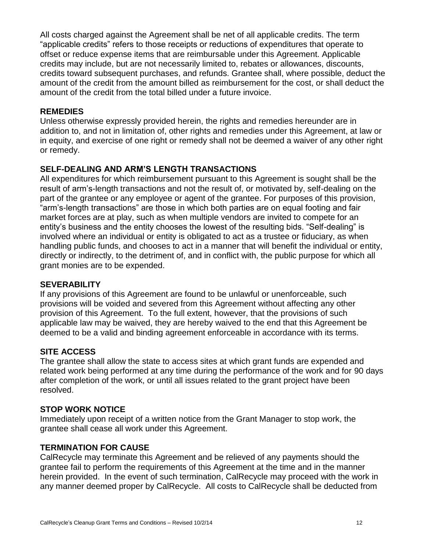All costs charged against the Agreement shall be net of all applicable credits. The term "applicable credits" refers to those receipts or reductions of expenditures that operate to offset or reduce expense items that are reimbursable under this Agreement. Applicable credits may include, but are not necessarily limited to, rebates or allowances, discounts, credits toward subsequent purchases, and refunds. Grantee shall, where possible, deduct the amount of the credit from the amount billed as reimbursement for the cost, or shall deduct the amount of the credit from the total billed under a future invoice.

#### **REMEDIES**

Unless otherwise expressly provided herein, the rights and remedies hereunder are in addition to, and not in limitation of, other rights and remedies under this Agreement, at law or in equity, and exercise of one right or remedy shall not be deemed a waiver of any other right or remedy.

## **SELF-DEALING AND ARM'S LENGTH TRANSACTIONS**

All expenditures for which reimbursement pursuant to this Agreement is sought shall be the result of arm's-length transactions and not the result of, or motivated by, self-dealing on the part of the grantee or any employee or agent of the grantee. For purposes of this provision, "arm's-length transactions" are those in which both parties are on equal footing and fair market forces are at play, such as when multiple vendors are invited to compete for an entity's business and the entity chooses the lowest of the resulting bids. "Self-dealing" is involved where an individual or entity is obligated to act as a trustee or fiduciary, as when handling public funds, and chooses to act in a manner that will benefit the individual or entity, directly or indirectly, to the detriment of, and in conflict with, the public purpose for which all grant monies are to be expended.

#### **SEVERABILITY**

If any provisions of this Agreement are found to be unlawful or unenforceable, such provisions will be voided and severed from this Agreement without affecting any other provision of this Agreement. To the full extent, however, that the provisions of such applicable law may be waived, they are hereby waived to the end that this Agreement be deemed to be a valid and binding agreement enforceable in accordance with its terms.

## **SITE ACCESS**

The grantee shall allow the state to access sites at which grant funds are expended and related work being performed at any time during the performance of the work and for 90 days after completion of the work, or until all issues related to the grant project have been resolved.

#### **STOP WORK NOTICE**

Immediately upon receipt of a written notice from the Grant Manager to stop work, the grantee shall cease all work under this Agreement.

#### **TERMINATION FOR CAUSE**

CalRecycle may terminate this Agreement and be relieved of any payments should the grantee fail to perform the requirements of this Agreement at the time and in the manner herein provided. In the event of such termination, CalRecycle may proceed with the work in any manner deemed proper by CalRecycle. All costs to CalRecycle shall be deducted from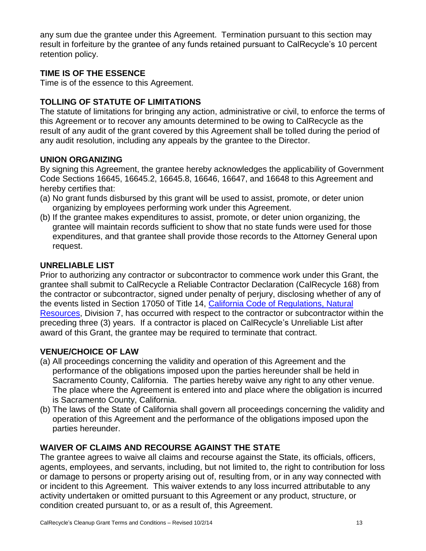any sum due the grantee under this Agreement. Termination pursuant to this section may result in forfeiture by the grantee of any funds retained pursuant to CalRecycle's 10 percent retention policy.

## **TIME IS OF THE ESSENCE**

Time is of the essence to this Agreement.

## **TOLLING OF STATUTE OF LIMITATIONS**

The statute of limitations for bringing any action, administrative or civil, to enforce the terms of this Agreement or to recover any amounts determined to be owing to CalRecycle as the result of any audit of the grant covered by this Agreement shall be tolled during the period of any audit resolution, including any appeals by the grantee to the Director.

#### **UNION ORGANIZING**

By signing this Agreement, the grantee hereby acknowledges the applicability of Government Code Sections 16645, 16645.2, 16645.8, 16646, 16647, and 16648 to this Agreement and hereby certifies that:

- (a) No grant funds disbursed by this grant will be used to assist, promote, or deter union organizing by employees performing work under this Agreement.
- (b) If the grantee makes expenditures to assist, promote, or deter union organizing, the grantee will maintain records sufficient to show that no state funds were used for those expenditures, and that grantee shall provide those records to the Attorney General upon request.

#### **UNRELIABLE LIST**

Prior to authorizing any contractor or subcontractor to commence work under this Grant, the grantee shall submit to CalRecycle a Reliable Contractor Declaration (CalRecycle 168) from the contractor or subcontractor, signed under penalty of perjury, disclosing whether of any of the events listed in Section 17050 of Title 14, [California Code of Regulations, Natural](http://www.calrecycle.ca.gov/Laws/Regulations/Title14/ch1.htm#ch1a5)  [Resources,](http://www.calrecycle.ca.gov/Laws/Regulations/Title14/ch1.htm#ch1a5) Division 7, has occurred with respect to the contractor or subcontractor within the preceding three (3) years. If a contractor is placed on CalRecycle's Unreliable List after award of this Grant, the grantee may be required to terminate that contract.

## **VENUE/CHOICE OF LAW**

- (a) All proceedings concerning the validity and operation of this Agreement and the performance of the obligations imposed upon the parties hereunder shall be held in Sacramento County, California. The parties hereby waive any right to any other venue. The place where the Agreement is entered into and place where the obligation is incurred is Sacramento County, California.
- (b) The laws of the State of California shall govern all proceedings concerning the validity and operation of this Agreement and the performance of the obligations imposed upon the parties hereunder.

## **WAIVER OF CLAIMS AND RECOURSE AGAINST THE STATE**

The grantee agrees to waive all claims and recourse against the State, its officials, officers, agents, employees, and servants, including, but not limited to, the right to contribution for loss or damage to persons or property arising out of, resulting from, or in any way connected with or incident to this Agreement. This waiver extends to any loss incurred attributable to any activity undertaken or omitted pursuant to this Agreement or any product, structure, or condition created pursuant to, or as a result of, this Agreement.